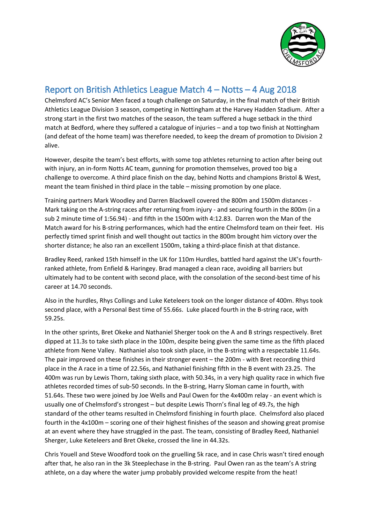

## Report on British Athletics League Match 4 – Notts – 4 Aug 2018

Chelmsford AC's Senior Men faced a tough challenge on Saturday, in the final match of their British Athletics League Division 3 season, competing in Nottingham at the Harvey Hadden Stadium. After a strong start in the first two matches of the season, the team suffered a huge setback in the third match at Bedford, where they suffered a catalogue of injuries – and a top two finish at Nottingham (and defeat of the home team) was therefore needed, to keep the dream of promotion to Division 2 alive.

However, despite the team's best efforts, with some top athletes returning to action after being out with injury, an in-form Notts AC team, gunning for promotion themselves, proved too big a challenge to overcome. A third place finish on the day, behind Notts and champions Bristol & West, meant the team finished in third place in the table – missing promotion by one place.

Training partners Mark Woodley and Darren Blackwell covered the 800m and 1500m distances - Mark taking on the A-string races after returning from injury - and securing fourth in the 800m (in a sub 2 minute time of 1:56.94) - and fifth in the 1500m with 4:12.83. Darren won the Man of the Match award for his B-string performances, which had the entire Chelmsford team on their feet. His perfectly timed sprint finish and well thought out tactics in the 800m brought him victory over the shorter distance; he also ran an excellent 1500m, taking a third-place finish at that distance.

Bradley Reed, ranked 15th himself in the UK for 110m Hurdles, battled hard against the UK's fourthranked athlete, from Enfield & Haringey. Brad managed a clean race, avoiding all barriers but ultimately had to be content with second place, with the consolation of the second-best time of his career at 14.70 seconds.

Also in the hurdles, Rhys Collings and Luke Keteleers took on the longer distance of 400m. Rhys took second place, with a Personal Best time of 55.66s. Luke placed fourth in the B-string race, with 59.25s.

In the other sprints, Bret Okeke and Nathaniel Sherger took on the A and B strings respectively. Bret dipped at 11.3s to take sixth place in the 100m, despite being given the same time as the fifth placed athlete from Nene Valley. Nathaniel also took sixth place, in the B-string with a respectable 11.64s. The pair improved on these finishes in their stronger event – the 200m - with Bret recording third place in the A race in a time of 22.56s, and Nathaniel finishing fifth in the B event with 23.25. The 400m was run by Lewis Thorn, taking sixth place, with 50.34s, in a very high quality race in which five athletes recorded times of sub-50 seconds. In the B-string, Harry Sloman came in fourth, with 51.64s. These two were joined by Joe Wells and Paul Owen for the 4x400m relay - an event which is usually one of Chelmsford's strongest – but despite Lewis Thorn's final leg of 49.7s, the high standard of the other teams resulted in Chelmsford finishing in fourth place. Chelmsford also placed fourth in the 4x100m – scoring one of their highest finishes of the season and showing great promise at an event where they have struggled in the past. The team, consisting of Bradley Reed, Nathaniel Sherger, Luke Keteleers and Bret Okeke, crossed the line in 44.32s.

Chris Youell and Steve Woodford took on the gruelling 5k race, and in case Chris wasn't tired enough after that, he also ran in the 3k Steeplechase in the B-string. Paul Owen ran as the team's A string athlete, on a day where the water jump probably provided welcome respite from the heat!